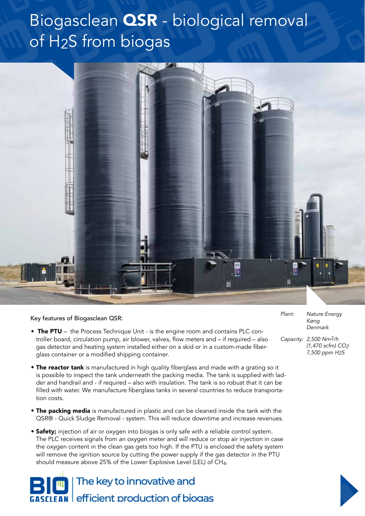## Biogasclean QSR - biological removal of H2S from biogas



## Key features of Biogasclean QSR:

- The PTU the Process Technique Unit is the engine room and contains PLC controller board, circulation pump, air blower, valves, flow meters and – if required – also gas detector and heating system installed either on a skid or in a custom-made fiberglass container or a modified shipping container.
- **The reactor tank** is manufactured in high quality fiberglass and made with a grating so it is possible to inspect the tank underneath the packing media. The tank is supplied with ladder and handrail and - if required – also with insulation. The tank is so robust that it can be filled with water. We manufacture fiberglass tanks in several countries to reduce transportation costs.
- **The packing media** is manufactured in plastic and can be cleaned inside the tank with the QSR® - Quick Sludge Removal - system. This will reduce downtime and increase revenues.
- **Safety;** injection of air or oxygen into biogas is only safe with a reliable control system. The PLC receives signals from an oxygen meter and will reduce or stop air injection in case the oxygen content in the clean gas gets too high. If the PTU is enclosed the safety system will remove the ignition source by cutting the power supply if the gas detector in the PTU should measure above 25% of the Lower Explosive Level (LEL) of  $CH<sub>4</sub>$ .

The key to innovative and  $\mathbf{N}$  efficient production of biogas *Plant: Nature Energy Køng* 

*Denmark Capacity: 2,500 Nm3/h*

*(1,470 scfm) CO2 7,500 ppm H2S*